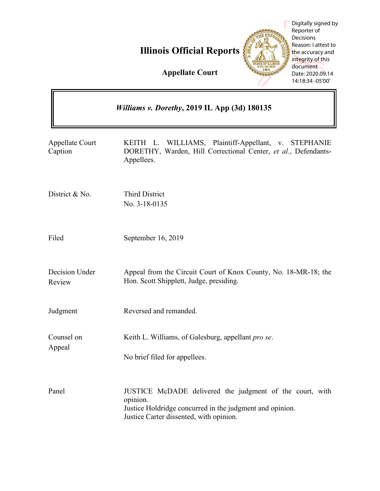**Illinois Official Reports**



Digitally signed by Reporter of Decisions Reason: I attest to the accuracy and integrity of this document Date: 2020.09.14 14:18:34 -05'00'

**Appellate Court**

| Williams v. Dorethy, 2019 IL App (3d) 180135 |                                                                                                                                                                             |
|----------------------------------------------|-----------------------------------------------------------------------------------------------------------------------------------------------------------------------------|
| <b>Appellate Court</b><br>Caption            | KEITH L. WILLIAMS, Plaintiff-Appellant, v. STEPHANIE<br>DORETHY, Warden, Hill Correctional Center, et al., Defendants-<br>Appellees.                                        |
| District & No.                               | <b>Third District</b><br>No. 3-18-0135                                                                                                                                      |
| Filed                                        | September 16, 2019                                                                                                                                                          |
| Decision Under<br>Review                     | Appeal from the Circuit Court of Knox County, No. 18-MR-18; the<br>Hon. Scott Shipplett, Judge, presiding.                                                                  |
| Judgment                                     | Reversed and remanded.                                                                                                                                                      |
| Counsel on<br>Appeal                         | Keith L. Williams, of Galesburg, appellant pro se.<br>No brief filed for appellees.                                                                                         |
| Panel                                        | JUSTICE McDADE delivered the judgment of the court, with<br>opinion.<br>Justice Holdridge concurred in the judgment and opinion.<br>Justice Carter dissented, with opinion. |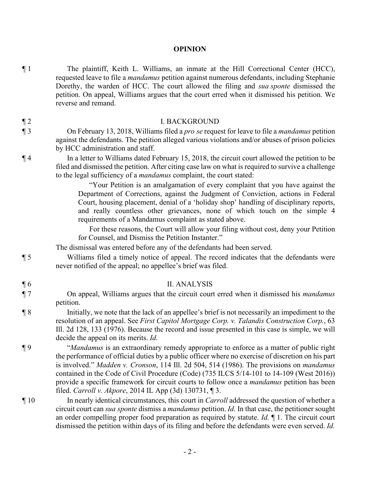## **OPINION**

¶ 1 The plaintiff, Keith L. Williams, an inmate at the Hill Correctional Center (HCC), requested leave to file a *mandamus* petition against numerous defendants, including Stephanie Dorethy, the warden of HCC. The court allowed the filing and *sua sponte* dismissed the petition. On appeal, Williams argues that the court erred when it dismissed his petition. We reverse and remand.

## ¶ 2 I. BACKGROUND

- ¶ 3 On February 13, 2018, Williams filed a *pro se* request for leave to file a *mandamus* petition against the defendants. The petition alleged various violations and/or abuses of prison policies by HCC administration and staff.
- ¶ 4 In a letter to Williams dated February 15, 2018, the circuit court allowed the petition to be filed and dismissed the petition. After citing case law on what is required to survive a challenge to the legal sufficiency of a *mandamus* complaint, the court stated:

"Your Petition is an amalgamation of every complaint that you have against the Department of Corrections, against the Judgment of Conviction, actions in Federal Court, housing placement, denial of a 'holiday shop' handling of disciplinary reports, and really countless other grievances, none of which touch on the simple 4 requirements of a Mandamus complaint as stated above.

For these reasons, the Court will allow your filing without cost, deny your Petition for Counsel, and Dismiss the Petition Instanter."

The dismissal was entered before any of the defendants had been served.

¶ 5 Williams filed a timely notice of appeal. The record indicates that the defendants were never notified of the appeal; no appellee's brief was filed.

## ¶ 6 II. ANALYSIS

- ¶ 7 On appeal, Williams argues that the circuit court erred when it dismissed his *mandamus* petition.
- ¶ 8 Initially, we note that the lack of an appellee's brief is not necessarily an impediment to the resolution of an appeal. See *First Capitol Mortgage Corp. v. Talandis Construction Corp.*, 63 Ill. 2d 128, 133 (1976). Because the record and issue presented in this case is simple, we will decide the appeal on its merits. *Id.*
- ¶ 9 "*Mandamus* is an extraordinary remedy appropriate to enforce as a matter of public right the performance of official duties by a public officer where no exercise of discretion on his part is involved." *Madden v. Cronson*, 114 Ill. 2d 504, 514 (1986). The provisions on *mandamus* contained in the Code of Civil Procedure (Code) (735 ILCS 5/14-101 to 14-109 (West 2016)) provide a specific framework for circuit courts to follow once a *mandamus* petition has been filed. *Carroll v. Akpore*, 2014 IL App (3d) 130731, ¶ 3.
- ¶ 10 In nearly identical circumstances, this court in *Carroll* addressed the question of whether a circuit court can *sua sponte* dismiss a *mandamus* petition. *Id.* In that case, the petitioner sought an order compelling proper food preparation as required by statute. *Id.* ¶ 1. The circuit court dismissed the petition within days of its filing and before the defendants were even served. *Id.*

- 
- 
-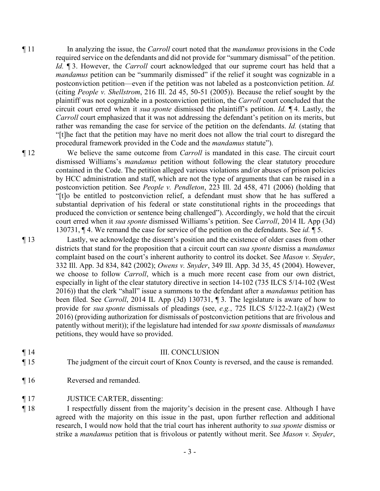- ¶ 11 In analyzing the issue, the *Carroll* court noted that the *mandamus* provisions in the Code required service on the defendants and did not provide for "summary dismissal" of the petition. *Id.* ¶ 3. However, the *Carroll* court acknowledged that our supreme court has held that a *mandamus* petition can be "summarily dismissed" if the relief it sought was cognizable in a postconviction petition—even if the petition was not labeled as a postconviction petition. *Id.* (citing *People v. Shellstrom*, 216 Ill. 2d 45, 50-51 (2005)). Because the relief sought by the plaintiff was not cognizable in a postconviction petition, the *Carroll* court concluded that the circuit court erred when it *sua sponte* dismissed the plaintiff's petition. *Id.* ¶ 4. Lastly, the *Carroll* court emphasized that it was not addressing the defendant's petition on its merits, but rather was remanding the case for service of the petition on the defendants. *Id.* (stating that "[t]he fact that the petition may have no merit does not allow the trial court to disregard the procedural framework provided in the Code and the *mandamus* statute").
- ¶ 12 We believe the same outcome from *Carroll* is mandated in this case. The circuit court dismissed Williams's *mandamus* petition without following the clear statutory procedure contained in the Code. The petition alleged various violations and/or abuses of prison policies by HCC administration and staff, which are not the type of arguments that can be raised in a postconviction petition. See *People v. Pendleton*, 223 Ill. 2d 458, 471 (2006) (holding that "[t]o be entitled to postconviction relief, a defendant must show that he has suffered a substantial deprivation of his federal or state constitutional rights in the proceedings that produced the conviction or sentence being challenged"). Accordingly, we hold that the circuit court erred when it *sua sponte* dismissed Williams's petition. See *Carroll*, 2014 IL App (3d) 130731, ¶ 4. We remand the case for service of the petition on the defendants. See *id.* ¶ 5.
- ¶ 13 Lastly, we acknowledge the dissent's position and the existence of older cases from other districts that stand for the proposition that a circuit court can *sua sponte* dismiss a *mandamus*  complaint based on the court's inherent authority to control its docket. See *Mason v. Snyder*, 332 Ill. App. 3d 834, 842 (2002); *Owens v. Snyder*, 349 Ill. App. 3d 35, 45 (2004). However, we choose to follow *Carroll*, which is a much more recent case from our own district, especially in light of the clear statutory directive in section 14-102 (735 ILCS 5/14-102 (West 2016)) that the clerk "shall" issue a summons to the defendant after a *mandamus* petition has been filed. See *Carroll*, 2014 IL App (3d) 130731, ¶ 3. The legislature is aware of how to provide for *sua sponte* dismissals of pleadings (see, *e.g.*, 725 ILCS 5/122-2.1(a)(2) (West 2016) (providing authorization for dismissals of postconviction petitions that are frivolous and patently without merit)); if the legislature had intended for *sua sponte* dismissals of *mandamus* petitions, they would have so provided.
- ¶ 14 III. CONCLUSION
- ¶ 15 The judgment of the circuit court of Knox County is reversed, and the cause is remanded.
- ¶ 16 Reversed and remanded.
- ¶ 17 JUSTICE CARTER, dissenting:
- ¶ 18 I respectfully dissent from the majority's decision in the present case. Although I have agreed with the majority on this issue in the past, upon further reflection and additional research, I would now hold that the trial court has inherent authority to *sua sponte* dismiss or strike a *mandamus* petition that is frivolous or patently without merit. See *Mason v. Snyder*,

- 3 -